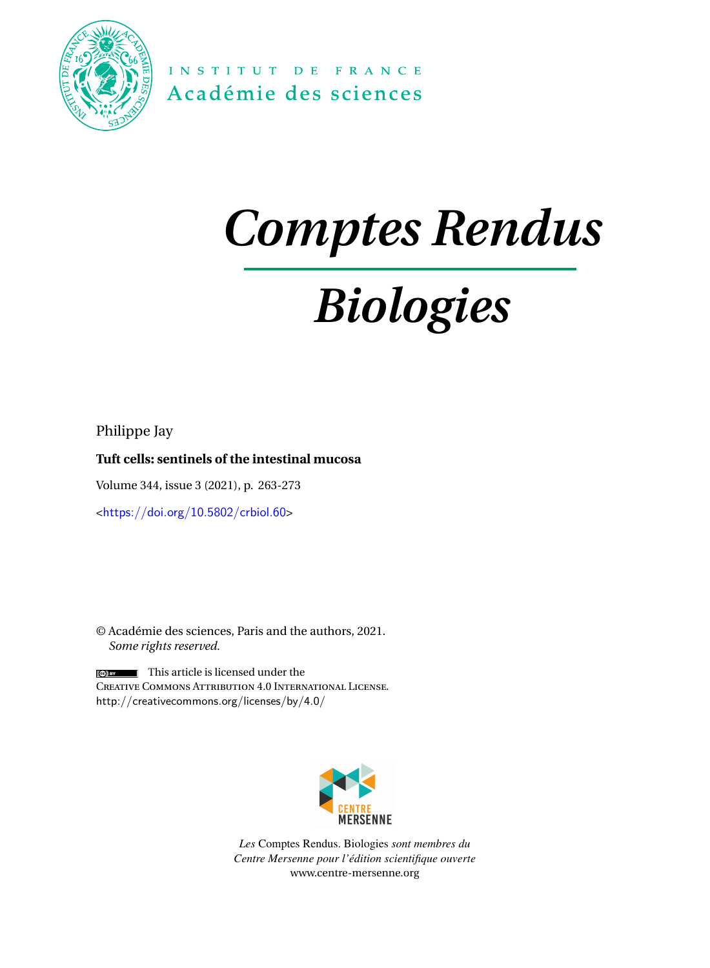

INSTITUT DE FRANCE Académie des sciences

# *Comptes Rendus*

# *Biologies*

Philippe Jay

# **Tuft cells: sentinels of the intestinal mucosa**

Volume 344, issue 3 (2021), p. 263-273

<<https://doi.org/10.5802/crbiol.60>>

© Académie des sciences, Paris and the authors, 2021. *Some rights reserved.*

This article is licensed under the Creative Commons Attribution 4.0 International License. <http://creativecommons.org/licenses/by/4.0/>



*Les* Comptes Rendus. Biologies *sont membres du Centre Mersenne pour l'édition scientifique ouverte* [www.centre-mersenne.org](https://www.centre-mersenne.org)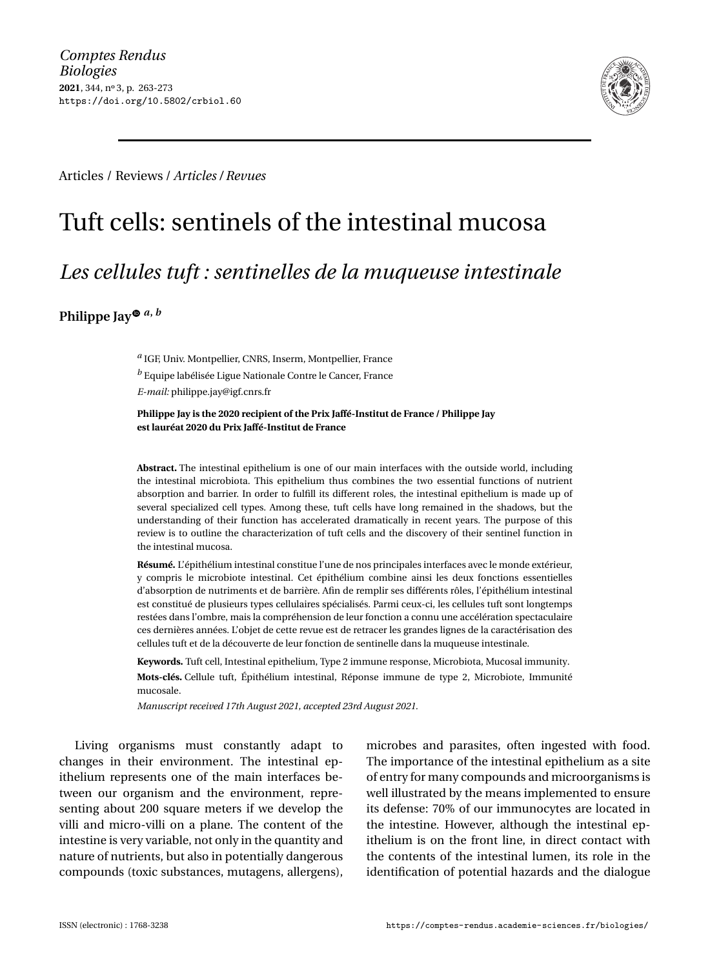

Articles / Reviews / *Articles / Revues*

# Tuft cells: sentinels of the intestinal mucosa

# *Les cellules tuft : sentinelles de la muqueuse intestinale*

**Philippe Jay**  $\bullet$  *a*, *b* 

*a* IGF, Univ. Montpellier, CNRS, Inserm, Montpellier, France *<sup>b</sup>* Equipe labélisée Ligue Nationale Contre le Cancer, France *E-mail:* [philippe.jay@igf.cnrs.fr](mailto:philippe.jay@igf.cnrs.fr)

#### **Philippe Jay is the 2020 recipient of the Prix Jaffé-Institut de France / Philippe Jay est lauréat 2020 du Prix Jaffé-Institut de France**

**Abstract.** The intestinal epithelium is one of our main interfaces with the outside world, including the intestinal microbiota. This epithelium thus combines the two essential functions of nutrient absorption and barrier. In order to fulfill its different roles, the intestinal epithelium is made up of several specialized cell types. Among these, tuft cells have long remained in the shadows, but the understanding of their function has accelerated dramatically in recent years. The purpose of this review is to outline the characterization of tuft cells and the discovery of their sentinel function in the intestinal mucosa.

**Résumé.** L'épithélium intestinal constitue l'une de nos principales interfaces avec le monde extérieur, y compris le microbiote intestinal. Cet épithélium combine ainsi les deux fonctions essentielles d'absorption de nutriments et de barrière. Afin de remplir ses différents rôles, l'épithélium intestinal est constitué de plusieurs types cellulaires spécialisés. Parmi ceux-ci, les cellules tuft sont longtemps restées dans l'ombre, mais la compréhension de leur fonction a connu une accélération spectaculaire ces dernières années. L'objet de cette revue est de retracer les grandes lignes de la caractérisation des cellules tuft et de la découverte de leur fonction de sentinelle dans la muqueuse intestinale.

**Keywords.** Tuft cell, Intestinal epithelium, Type 2 immune response, Microbiota, Mucosal immunity. **Mots-clés.** Cellule tuft, Épithélium intestinal, Réponse immune de type 2, Microbiote, Immunité mucosale.

*Manuscript received 17th August 2021, accepted 23rd August 2021.*

Living organisms must constantly adapt to changes in their environment. The intestinal epithelium represents one of the main interfaces between our organism and the environment, representing about 200 square meters if we develop the villi and micro-villi on a plane. The content of the intestine is very variable, not only in the quantity and nature of nutrients, but also in potentially dangerous compounds (toxic substances, mutagens, allergens), microbes and parasites, often ingested with food. The importance of the intestinal epithelium as a site of entry for many compounds and microorganisms is well illustrated by the means implemented to ensure its defense: 70% of our immunocytes are located in the intestine. However, although the intestinal epithelium is on the front line, in direct contact with the contents of the intestinal lumen, its role in the identification of potential hazards and the dialogue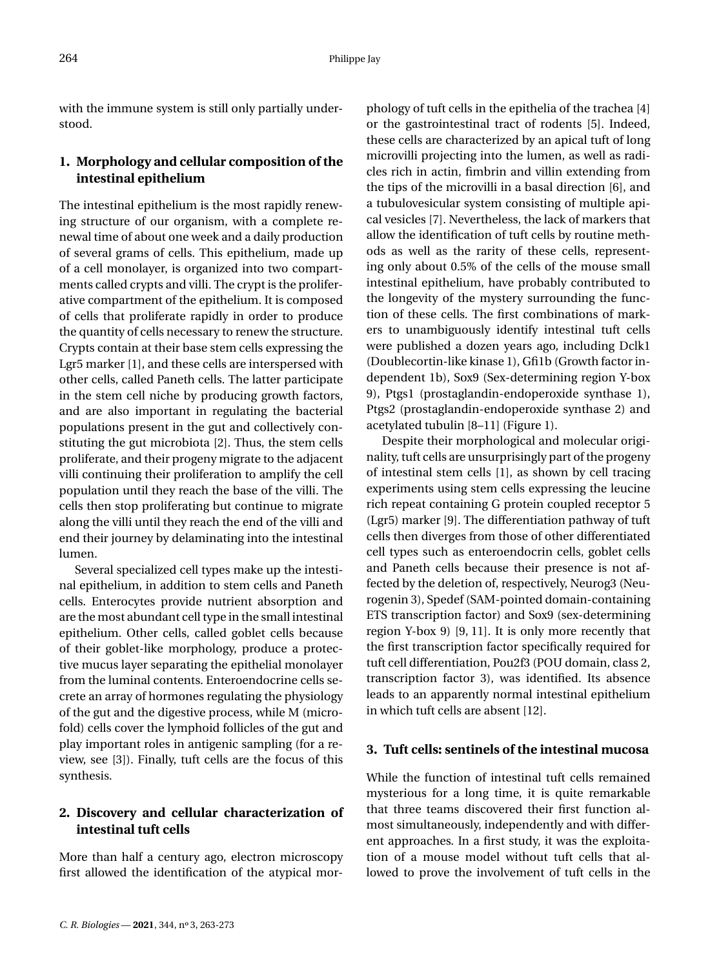with the immune system is still only partially understood.

# **1. Morphology and cellular composition of the intestinal epithelium**

The intestinal epithelium is the most rapidly renewing structure of our organism, with a complete renewal time of about one week and a daily production of several grams of cells. This epithelium, made up of a cell monolayer, is organized into two compartments called crypts and villi. The crypt is the proliferative compartment of the epithelium. It is composed of cells that proliferate rapidly in order to produce the quantity of cells necessary to renew the structure. Crypts contain at their base stem cells expressing the Lgr5 marker [\[1\]](#page-10-0), and these cells are interspersed with other cells, called Paneth cells. The latter participate in the stem cell niche by producing growth factors, and are also important in regulating the bacterial populations present in the gut and collectively constituting the gut microbiota [\[2\]](#page-10-1). Thus, the stem cells proliferate, and their progeny migrate to the adjacent villi continuing their proliferation to amplify the cell population until they reach the base of the villi. The cells then stop proliferating but continue to migrate along the villi until they reach the end of the villi and end their journey by delaminating into the intestinal lumen.

Several specialized cell types make up the intestinal epithelium, in addition to stem cells and Paneth cells. Enterocytes provide nutrient absorption and are the most abundant cell type in the small intestinal epithelium. Other cells, called goblet cells because of their goblet-like morphology, produce a protective mucus layer separating the epithelial monolayer from the luminal contents. Enteroendocrine cells secrete an array of hormones regulating the physiology of the gut and the digestive process, while M (microfold) cells cover the lymphoid follicles of the gut and play important roles in antigenic sampling (for a review, see [\[3\]](#page-10-2)). Finally, tuft cells are the focus of this synthesis.

# **2. Discovery and cellular characterization of intestinal tuft cells**

More than half a century ago, electron microscopy first allowed the identification of the atypical morphology of tuft cells in the epithelia of the trachea [\[4\]](#page-10-3) or the gastrointestinal tract of rodents [\[5\]](#page-10-4). Indeed, these cells are characterized by an apical tuft of long microvilli projecting into the lumen, as well as radicles rich in actin, fimbrin and villin extending from the tips of the microvilli in a basal direction [\[6\]](#page-10-5), and a tubulovesicular system consisting of multiple apical vesicles [\[7\]](#page-10-6). Nevertheless, the lack of markers that allow the identification of tuft cells by routine methods as well as the rarity of these cells, representing only about 0.5% of the cells of the mouse small intestinal epithelium, have probably contributed to the longevity of the mystery surrounding the function of these cells. The first combinations of markers to unambiguously identify intestinal tuft cells were published a dozen years ago, including Dclk1 (Doublecortin-like kinase 1), Gfi1b (Growth factor independent 1b), Sox9 (Sex-determining region Y-box 9), Ptgs1 (prostaglandin-endoperoxide synthase 1), Ptgs2 (prostaglandin-endoperoxide synthase 2) and acetylated tubulin [\[8](#page-10-7)[–11\]](#page-10-8) (Figure [1\)](#page-3-0).

Despite their morphological and molecular originality, tuft cells are unsurprisingly part of the progeny of intestinal stem cells [\[1\]](#page-10-0), as shown by cell tracing experiments using stem cells expressing the leucine rich repeat containing G protein coupled receptor 5 (Lgr5) marker [\[9\]](#page-10-9). The differentiation pathway of tuft cells then diverges from those of other differentiated cell types such as enteroendocrin cells, goblet cells and Paneth cells because their presence is not affected by the deletion of, respectively, Neurog3 (Neurogenin 3), Spedef (SAM-pointed domain-containing ETS transcription factor) and Sox9 (sex-determining region Y-box 9) [\[9,](#page-10-9) [11\]](#page-10-8). It is only more recently that the first transcription factor specifically required for tuft cell differentiation, Pou2f3 (POU domain, class 2, transcription factor 3), was identified. Its absence leads to an apparently normal intestinal epithelium in which tuft cells are absent [\[12\]](#page-10-10).

### **3. Tuft cells: sentinels of the intestinal mucosa**

While the function of intestinal tuft cells remained mysterious for a long time, it is quite remarkable that three teams discovered their first function almost simultaneously, independently and with different approaches. In a first study, it was the exploitation of a mouse model without tuft cells that allowed to prove the involvement of tuft cells in the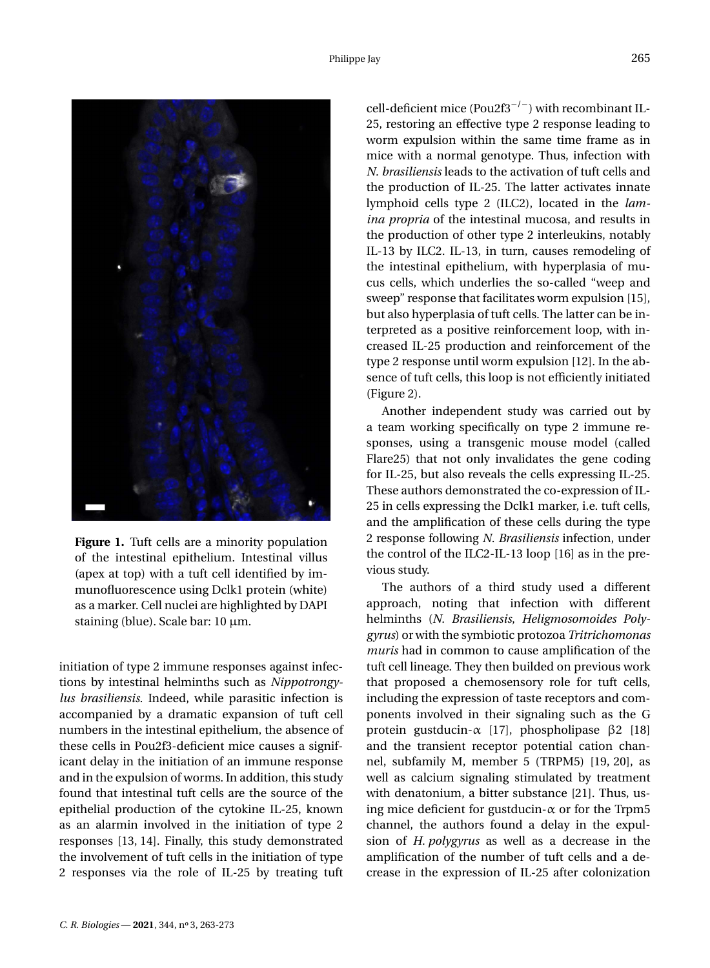

**Figure 1.** Tuft cells are a minority population of the intestinal epithelium. Intestinal villus (apex at top) with a tuft cell identified by immunofluorescence using Dclk1 protein (white) as a marker. Cell nuclei are highlighted by DAPI staining (blue). Scale bar: 10 µm.

<span id="page-3-0"></span>initiation of type 2 immune responses against infections by intestinal helminths such as *Nippotrongylus brasiliensis*. Indeed, while parasitic infection is accompanied by a dramatic expansion of tuft cell numbers in the intestinal epithelium, the absence of these cells in Pou2f3-deficient mice causes a significant delay in the initiation of an immune response and in the expulsion of worms. In addition, this study found that intestinal tuft cells are the source of the epithelial production of the cytokine IL-25, known as an alarmin involved in the initiation of type 2 responses [\[13,](#page-10-11) [14\]](#page-10-12). Finally, this study demonstrated the involvement of tuft cells in the initiation of type 2 responses via the role of IL-25 by treating tuft cell-deficient mice (Pou2f3<sup>-/-</sup>) with recombinant IL-25, restoring an effective type 2 response leading to worm expulsion within the same time frame as in mice with a normal genotype. Thus, infection with *N. brasiliensis* leads to the activation of tuft cells and the production of IL-25. The latter activates innate lymphoid cells type 2 (ILC2), located in the *lamina propria* of the intestinal mucosa, and results in the production of other type 2 interleukins, notably IL-13 by ILC2. IL-13, in turn, causes remodeling of the intestinal epithelium, with hyperplasia of mucus cells, which underlies the so-called "weep and sweep" response that facilitates worm expulsion [\[15\]](#page-10-13), but also hyperplasia of tuft cells. The latter can be interpreted as a positive reinforcement loop, with increased IL-25 production and reinforcement of the type 2 response until worm expulsion [\[12\]](#page-10-10). In the absence of tuft cells, this loop is not efficiently initiated (Figure [2\)](#page-4-0).

Another independent study was carried out by a team working specifically on type 2 immune responses, using a transgenic mouse model (called Flare25) that not only invalidates the gene coding for IL-25, but also reveals the cells expressing IL-25. These authors demonstrated the co-expression of IL-25 in cells expressing the Dclk1 marker, i.e. tuft cells, and the amplification of these cells during the type 2 response following *N. Brasiliensis* infection, under the control of the ILC2-IL-13 loop [\[16\]](#page-10-14) as in the previous study.

The authors of a third study used a different approach, noting that infection with different helminths (*N. Brasiliensis*, *Heligmosomoides Polygyrus*) or with the symbiotic protozoa *Tritrichomonas muris* had in common to cause amplification of the tuft cell lineage. They then builded on previous work that proposed a chemosensory role for tuft cells, including the expression of taste receptors and components involved in their signaling such as the G protein gustducin- $\alpha$  [\[17\]](#page-10-15), phospholipase β2 [\[18\]](#page-10-16) and the transient receptor potential cation channel, subfamily M, member 5 (TRPM5) [\[19,](#page-10-17) [20\]](#page-10-18), as well as calcium signaling stimulated by treatment with denatonium, a bitter substance [\[21\]](#page-10-19). Thus, using mice deficient for gustducin- $\alpha$  or for the Trpm5 channel, the authors found a delay in the expulsion of *H. polygyrus* as well as a decrease in the amplification of the number of tuft cells and a decrease in the expression of IL-25 after colonization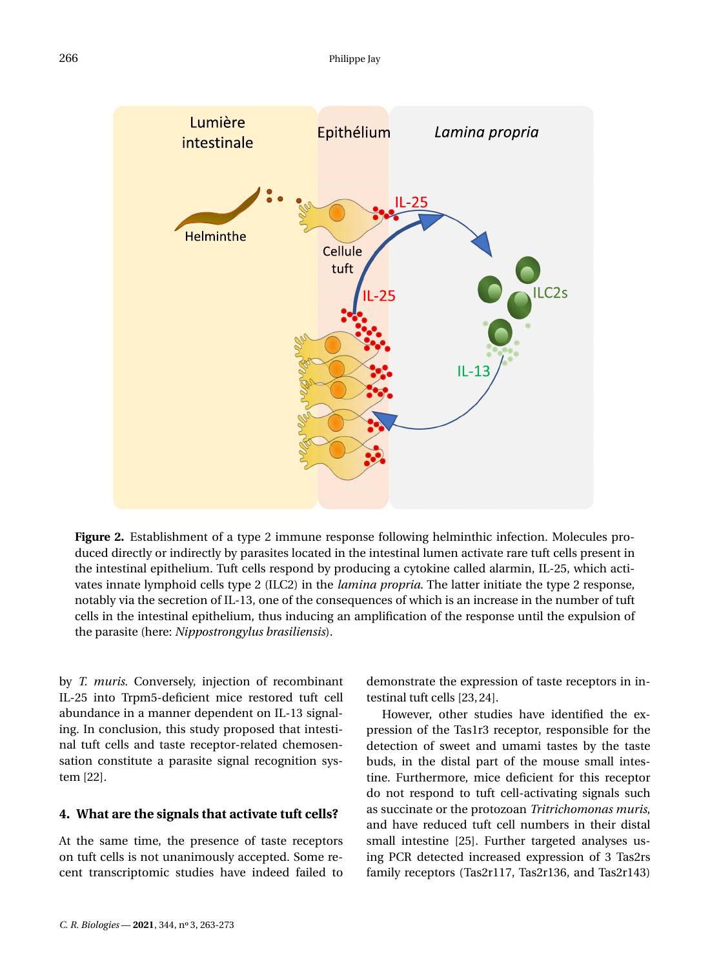

<span id="page-4-0"></span>**Figure 2.** Establishment of a type 2 immune response following helminthic infection. Molecules produced directly or indirectly by parasites located in the intestinal lumen activate rare tuft cells present in the intestinal epithelium. Tuft cells respond by producing a cytokine called alarmin, IL-25, which activates innate lymphoid cells type 2 (ILC2) in the *lamina propria*. The latter initiate the type 2 response, notably via the secretion of IL-13, one of the consequences of which is an increase in the number of tuft cells in the intestinal epithelium, thus inducing an amplification of the response until the expulsion of the parasite (here: *Nippostrongylus brasiliensis*).

by *T. muris*. Conversely, injection of recombinant IL-25 into Trpm5-deficient mice restored tuft cell abundance in a manner dependent on IL-13 signaling. In conclusion, this study proposed that intestinal tuft cells and taste receptor-related chemosensation constitute a parasite signal recognition system [\[22\]](#page-10-20).

#### **4. What are the signals that activate tuft cells?**

At the same time, the presence of taste receptors on tuft cells is not unanimously accepted. Some recent transcriptomic studies have indeed failed to demonstrate the expression of taste receptors in intestinal tuft cells [\[23,](#page-10-21)[24\]](#page-11-0).

However, other studies have identified the expression of the Tas1r3 receptor, responsible for the detection of sweet and umami tastes by the taste buds, in the distal part of the mouse small intestine. Furthermore, mice deficient for this receptor do not respond to tuft cell-activating signals such as succinate or the protozoan *Tritrichomonas muris*, and have reduced tuft cell numbers in their distal small intestine [\[25\]](#page-11-1). Further targeted analyses using PCR detected increased expression of 3 Tas2rs family receptors (Tas2r117, Tas2r136, and Tas2r143)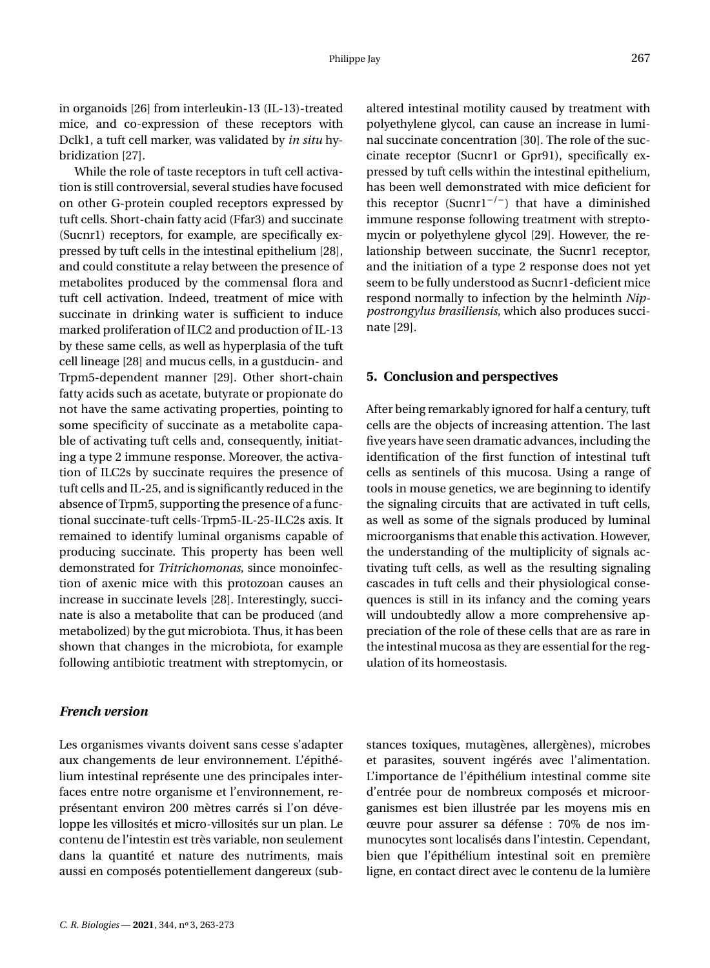in organoids [\[26\]](#page-11-2) from interleukin-13 (IL-13)-treated mice, and co-expression of these receptors with Dclk1, a tuft cell marker, was validated by *in situ* hybridization [\[27\]](#page-11-3).

While the role of taste receptors in tuft cell activation is still controversial, several studies have focused on other G-protein coupled receptors expressed by tuft cells. Short-chain fatty acid (Ffar3) and succinate (Sucnr1) receptors, for example, are specifically expressed by tuft cells in the intestinal epithelium [\[28\]](#page-11-4), and could constitute a relay between the presence of metabolites produced by the commensal flora and tuft cell activation. Indeed, treatment of mice with succinate in drinking water is sufficient to induce marked proliferation of ILC2 and production of IL-13 by these same cells, as well as hyperplasia of the tuft cell lineage [\[28\]](#page-11-4) and mucus cells, in a gustducin- and Trpm5-dependent manner [\[29\]](#page-11-5). Other short-chain fatty acids such as acetate, butyrate or propionate do not have the same activating properties, pointing to some specificity of succinate as a metabolite capable of activating tuft cells and, consequently, initiating a type 2 immune response. Moreover, the activation of ILC2s by succinate requires the presence of tuft cells and IL-25, and is significantly reduced in the absence of Trpm5, supporting the presence of a functional succinate-tuft cells-Trpm5-IL-25-ILC2s axis. It remained to identify luminal organisms capable of producing succinate. This property has been well demonstrated for *Tritrichomonas*, since monoinfection of axenic mice with this protozoan causes an increase in succinate levels [\[28\]](#page-11-4). Interestingly, succinate is also a metabolite that can be produced (and metabolized) by the gut microbiota. Thus, it has been shown that changes in the microbiota, for example following antibiotic treatment with streptomycin, or

### *French version*

Les organismes vivants doivent sans cesse s'adapter aux changements de leur environnement. L'épithélium intestinal représente une des principales interfaces entre notre organisme et l'environnement, représentant environ 200 mètres carrés si l'on développe les villosités et micro-villosités sur un plan. Le contenu de l'intestin est très variable, non seulement dans la quantité et nature des nutriments, mais aussi en composés potentiellement dangereux (subaltered intestinal motility caused by treatment with polyethylene glycol, can cause an increase in luminal succinate concentration [\[30\]](#page-11-6). The role of the succinate receptor (Sucnr1 or Gpr91), specifically expressed by tuft cells within the intestinal epithelium, has been well demonstrated with mice deficient for this receptor (Sucnr1<sup>-/-</sup>) that have a diminished immune response following treatment with streptomycin or polyethylene glycol [\[29\]](#page-11-5). However, the relationship between succinate, the Sucnr1 receptor, and the initiation of a type 2 response does not yet seem to be fully understood as Sucnr1-deficient mice respond normally to infection by the helminth *Nippostrongylus brasiliensis*, which also produces succinate [\[29\]](#page-11-5).

#### **5. Conclusion and perspectives**

After being remarkably ignored for half a century, tuft cells are the objects of increasing attention. The last five years have seen dramatic advances, including the identification of the first function of intestinal tuft cells as sentinels of this mucosa. Using a range of tools in mouse genetics, we are beginning to identify the signaling circuits that are activated in tuft cells, as well as some of the signals produced by luminal microorganisms that enable this activation. However, the understanding of the multiplicity of signals activating tuft cells, as well as the resulting signaling cascades in tuft cells and their physiological consequences is still in its infancy and the coming years will undoubtedly allow a more comprehensive appreciation of the role of these cells that are as rare in the intestinal mucosa as they are essential for the regulation of its homeostasis.

stances toxiques, mutagènes, allergènes), microbes et parasites, souvent ingérés avec l'alimentation. L'importance de l'épithélium intestinal comme site d'entrée pour de nombreux composés et microorganismes est bien illustrée par les moyens mis en œuvre pour assurer sa défense : 70% de nos immunocytes sont localisés dans l'intestin. Cependant, bien que l'épithélium intestinal soit en première ligne, en contact direct avec le contenu de la lumière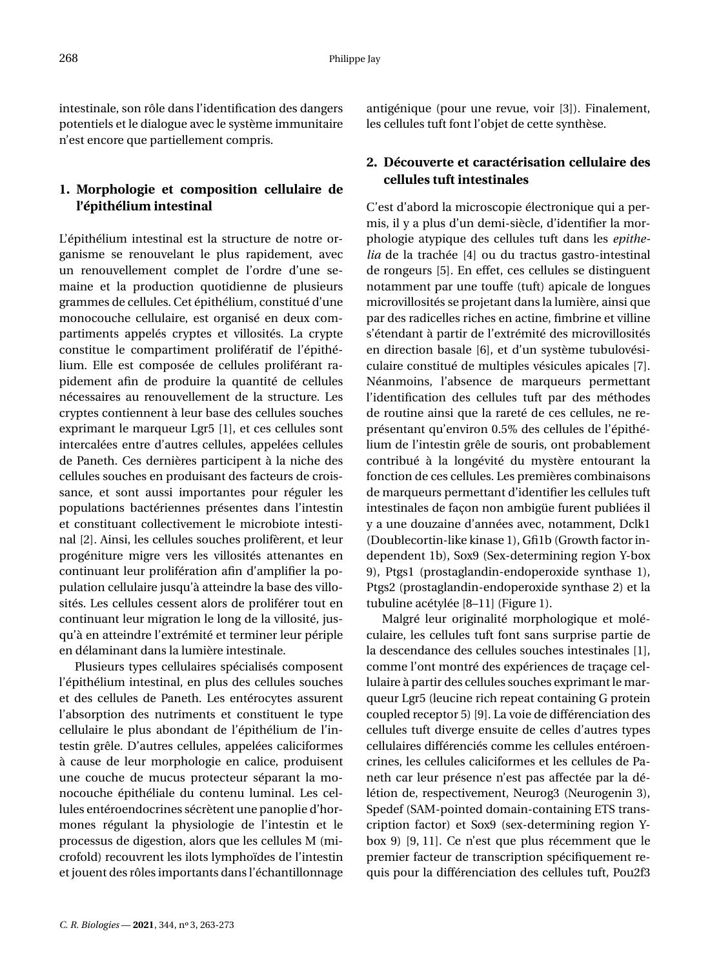intestinale, son rôle dans l'identification des dangers potentiels et le dialogue avec le système immunitaire n'est encore que partiellement compris.

# **1. Morphologie et composition cellulaire de l'épithélium intestinal**

L'épithélium intestinal est la structure de notre organisme se renouvelant le plus rapidement, avec un renouvellement complet de l'ordre d'une semaine et la production quotidienne de plusieurs grammes de cellules. Cet épithélium, constitué d'une monocouche cellulaire, est organisé en deux compartiments appelés cryptes et villosités. La crypte constitue le compartiment prolifératif de l'épithélium. Elle est composée de cellules proliférant rapidement afin de produire la quantité de cellules nécessaires au renouvellement de la structure. Les cryptes contiennent à leur base des cellules souches exprimant le marqueur Lgr5 [\[1\]](#page-10-0), et ces cellules sont intercalées entre d'autres cellules, appelées cellules de Paneth. Ces dernières participent à la niche des cellules souches en produisant des facteurs de croissance, et sont aussi importantes pour réguler les populations bactériennes présentes dans l'intestin et constituant collectivement le microbiote intestinal [\[2\]](#page-10-1). Ainsi, les cellules souches prolifèrent, et leur progéniture migre vers les villosités attenantes en continuant leur prolifération afin d'amplifier la population cellulaire jusqu'à atteindre la base des villosités. Les cellules cessent alors de proliférer tout en continuant leur migration le long de la villosité, jusqu'à en atteindre l'extrémité et terminer leur périple en délaminant dans la lumière intestinale.

Plusieurs types cellulaires spécialisés composent l'épithélium intestinal, en plus des cellules souches et des cellules de Paneth. Les entérocytes assurent l'absorption des nutriments et constituent le type cellulaire le plus abondant de l'épithélium de l'intestin grêle. D'autres cellules, appelées caliciformes à cause de leur morphologie en calice, produisent une couche de mucus protecteur séparant la monocouche épithéliale du contenu luminal. Les cellules entéroendocrines sécrètent une panoplie d'hormones régulant la physiologie de l'intestin et le processus de digestion, alors que les cellules M (microfold) recouvrent les ilots lymphoïdes de l'intestin et jouent des rôles importants dans l'échantillonnage antigénique (pour une revue, voir [\[3\]](#page-10-2)). Finalement, les cellules tuft font l'objet de cette synthèse.

## **2. Découverte et caractérisation cellulaire des cellules tuft intestinales**

C'est d'abord la microscopie électronique qui a permis, il y a plus d'un demi-siècle, d'identifier la morphologie atypique des cellules tuft dans les *epithelia* de la trachée [\[4\]](#page-10-3) ou du tractus gastro-intestinal de rongeurs [\[5\]](#page-10-4). En effet, ces cellules se distinguent notamment par une touffe (tuft) apicale de longues microvillosités se projetant dans la lumière, ainsi que par des radicelles riches en actine, fimbrine et villine s'étendant à partir de l'extrémité des microvillosités en direction basale [\[6\]](#page-10-5), et d'un système tubulovésiculaire constitué de multiples vésicules apicales [\[7\]](#page-10-6). Néanmoins, l'absence de marqueurs permettant l'identification des cellules tuft par des méthodes de routine ainsi que la rareté de ces cellules, ne représentant qu'environ 0.5% des cellules de l'épithélium de l'intestin grêle de souris, ont probablement contribué à la longévité du mystère entourant la fonction de ces cellules. Les premières combinaisons de marqueurs permettant d'identifier les cellules tuft intestinales de façon non ambigüe furent publiées il y a une douzaine d'années avec, notamment, Dclk1 (Doublecortin-like kinase 1), Gfi1b (Growth factor independent 1b), Sox9 (Sex-determining region Y-box 9), Ptgs1 (prostaglandin-endoperoxide synthase 1), Ptgs2 (prostaglandin-endoperoxide synthase 2) et la tubuline acétylée [\[8](#page-10-7)[–11\]](#page-10-8) (Figure [1\)](#page-7-0).

Malgré leur originalité morphologique et moléculaire, les cellules tuft font sans surprise partie de la descendance des cellules souches intestinales [\[1\]](#page-10-0), comme l'ont montré des expériences de traçage cellulaire à partir des cellules souches exprimant le marqueur Lgr5 (leucine rich repeat containing G protein coupled receptor 5) [\[9\]](#page-10-9). La voie de différenciation des cellules tuft diverge ensuite de celles d'autres types cellulaires différenciés comme les cellules entéroencrines, les cellules caliciformes et les cellules de Paneth car leur présence n'est pas affectée par la délétion de, respectivement, Neurog3 (Neurogenin 3), Spedef (SAM-pointed domain-containing ETS transcription factor) et Sox9 (sex-determining region Ybox 9) [\[9,](#page-10-9) [11\]](#page-10-8). Ce n'est que plus récemment que le premier facteur de transcription spécifiquement requis pour la différenciation des cellules tuft, Pou2f3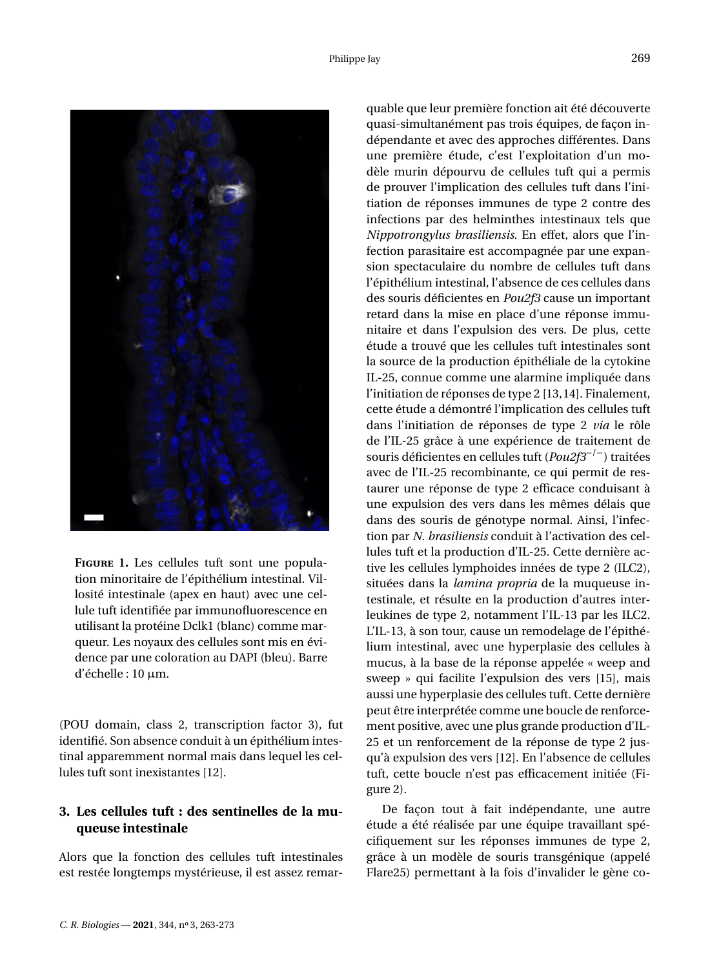

<span id="page-7-0"></span>**Figure 1.** Les cellules tuft sont une population minoritaire de l'épithélium intestinal. Villosité intestinale (apex en haut) avec une cellule tuft identifiée par immunofluorescence en utilisant la protéine Dclk1 (blanc) comme marqueur. Les noyaux des cellules sont mis en évidence par une coloration au DAPI (bleu). Barre d'échelle : 10 µm.

(POU domain, class 2, transcription factor 3), fut identifié. Son absence conduit à un épithélium intestinal apparemment normal mais dans lequel les cellules tuft sont inexistantes [\[12\]](#page-10-10).

# **3. Les cellules tuft : des sentinelles de la muqueuse intestinale**

Alors que la fonction des cellules tuft intestinales est restée longtemps mystérieuse, il est assez remar-

quable que leur première fonction ait été découverte quasi-simultanément pas trois équipes, de façon indépendante et avec des approches différentes. Dans une première étude, c'est l'exploitation d'un modèle murin dépourvu de cellules tuft qui a permis de prouver l'implication des cellules tuft dans l'initiation de réponses immunes de type 2 contre des infections par des helminthes intestinaux tels que *Nippotrongylus brasiliensis*. En effet, alors que l'infection parasitaire est accompagnée par une expansion spectaculaire du nombre de cellules tuft dans l'épithélium intestinal, l'absence de ces cellules dans des souris déficientes en *Pou2f3* cause un important retard dans la mise en place d'une réponse immunitaire et dans l'expulsion des vers. De plus, cette étude a trouvé que les cellules tuft intestinales sont la source de la production épithéliale de la cytokine IL-25, connue comme une alarmine impliquée dans l'initiation de réponses de type 2 [\[13,](#page-10-11)[14\]](#page-10-12). Finalement, cette étude a démontré l'implication des cellules tuft dans l'initiation de réponses de type 2 *via* le rôle de l'IL-25 grâce à une expérience de traitement de souris déficientes en cellules tuft (*Pou2f3*−/−) traitées avec de l'IL-25 recombinante, ce qui permit de restaurer une réponse de type 2 efficace conduisant à une expulsion des vers dans les mêmes délais que dans des souris de génotype normal. Ainsi, l'infection par *N. brasiliensis* conduit à l'activation des cellules tuft et la production d'IL-25. Cette dernière active les cellules lymphoides innées de type 2 (ILC2), situées dans la *lamina propria* de la muqueuse intestinale, et résulte en la production d'autres interleukines de type 2, notamment l'IL-13 par les ILC2. L'IL-13, à son tour, cause un remodelage de l'épithélium intestinal, avec une hyperplasie des cellules à mucus, à la base de la réponse appelée « weep and sweep » qui facilite l'expulsion des vers [\[15\]](#page-10-13), mais aussi une hyperplasie des cellules tuft. Cette dernière peut être interprétée comme une boucle de renforcement positive, avec une plus grande production d'IL-25 et un renforcement de la réponse de type 2 jusqu'à expulsion des vers [\[12\]](#page-10-10). En l'absence de cellules tuft, cette boucle n'est pas efficacement initiée (Figure [2\)](#page-8-0).

De façon tout à fait indépendante, une autre étude a été réalisée par une équipe travaillant spécifiquement sur les réponses immunes de type 2, grâce à un modèle de souris transgénique (appelé Flare25) permettant à la fois d'invalider le gène co-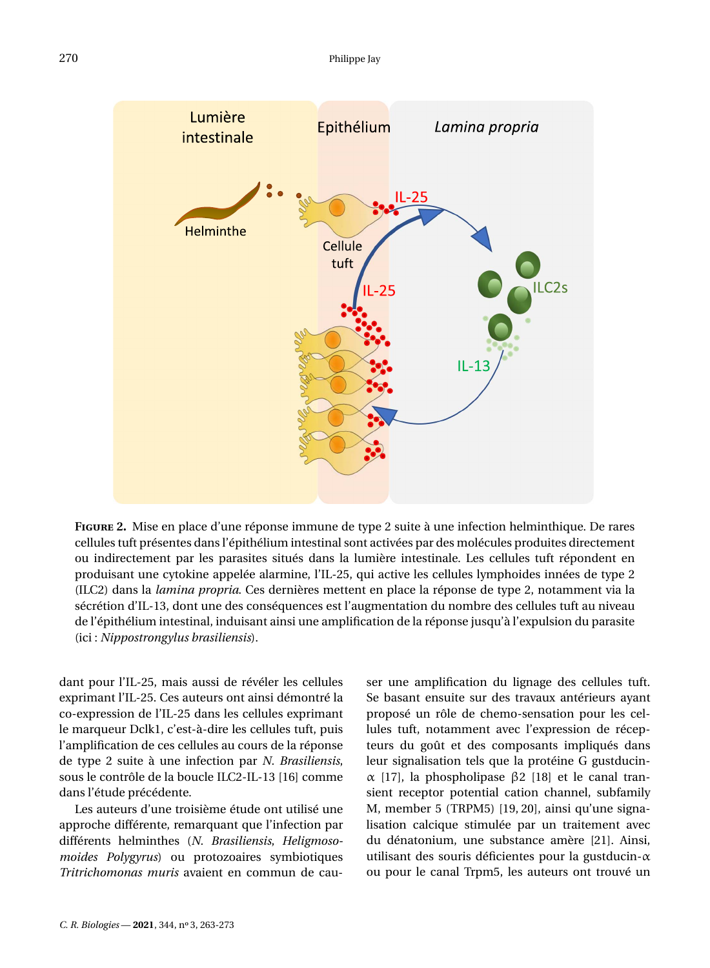

<span id="page-8-0"></span>**Figure 2.** Mise en place d'une réponse immune de type 2 suite à une infection helminthique. De rares cellules tuft présentes dans l'épithélium intestinal sont activées par des molécules produites directement ou indirectement par les parasites situés dans la lumière intestinale. Les cellules tuft répondent en produisant une cytokine appelée alarmine, l'IL-25, qui active les cellules lymphoides innées de type 2 (ILC2) dans la *lamina propria*. Ces dernières mettent en place la réponse de type 2, notamment via la sécrétion d'IL-13, dont une des conséquences est l'augmentation du nombre des cellules tuft au niveau de l'épithélium intestinal, induisant ainsi une amplification de la réponse jusqu'à l'expulsion du parasite (ici : *Nippostrongylus brasiliensis*).

dant pour l'IL-25, mais aussi de révéler les cellules exprimant l'IL-25. Ces auteurs ont ainsi démontré la co-expression de l'IL-25 dans les cellules exprimant le marqueur Dclk1, c'est-à-dire les cellules tuft, puis l'amplification de ces cellules au cours de la réponse de type 2 suite à une infection par *N. Brasiliensis*, sous le contrôle de la boucle ILC2-IL-13 [\[16\]](#page-10-14) comme dans l'étude précédente.

Les auteurs d'une troisième étude ont utilisé une approche différente, remarquant que l'infection par différents helminthes (*N. Brasiliensis*, *Heligmosomoides Polygyrus*) ou protozoaires symbiotiques *Tritrichomonas muris* avaient en commun de causer une amplification du lignage des cellules tuft. Se basant ensuite sur des travaux antérieurs ayant proposé un rôle de chemo-sensation pour les cellules tuft, notamment avec l'expression de récepteurs du goût et des composants impliqués dans leur signalisation tels que la protéine G gustducinα [\[17\]](#page-10-15), la phospholipase β2 [\[18\]](#page-10-16) et le canal transient receptor potential cation channel, subfamily M, member 5 (TRPM5) [\[19,](#page-10-17) [20\]](#page-10-18), ainsi qu'une signalisation calcique stimulée par un traitement avec du dénatonium, une substance amère [\[21\]](#page-10-19). Ainsi, utilisant des souris déficientes pour la gustducin-α ou pour le canal Trpm5, les auteurs ont trouvé un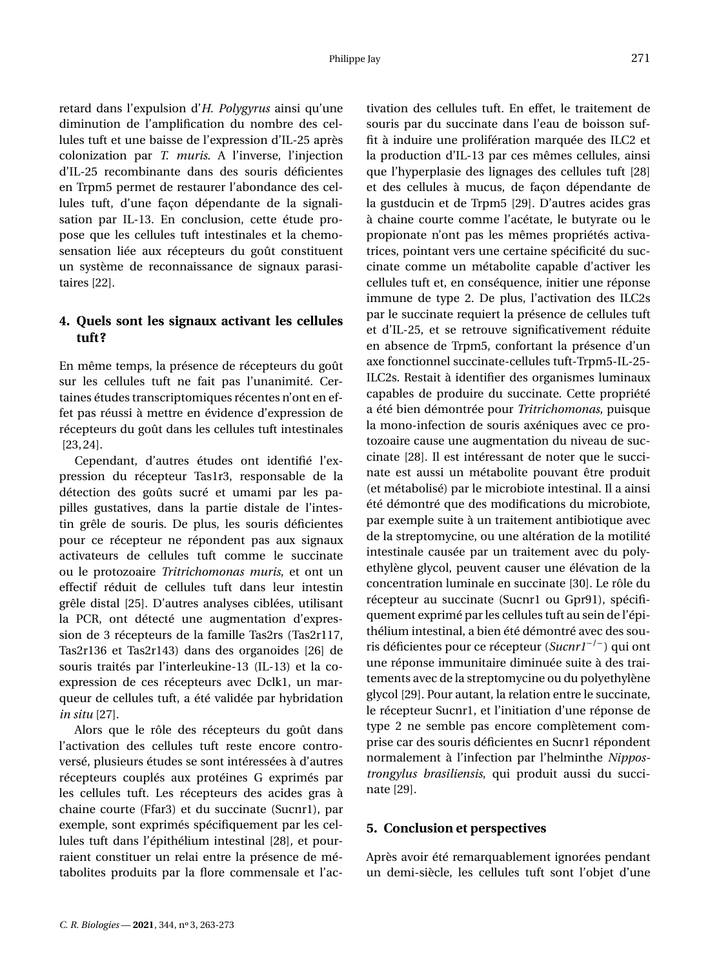retard dans l'expulsion d'*H. Polygyrus* ainsi qu'une diminution de l'amplification du nombre des cellules tuft et une baisse de l'expression d'IL-25 après colonization par *T. muris*. A l'inverse, l'injection d'IL-25 recombinante dans des souris déficientes en Trpm5 permet de restaurer l'abondance des cellules tuft, d'une façon dépendante de la signalisation par IL-13. En conclusion, cette étude propose que les cellules tuft intestinales et la chemosensation liée aux récepteurs du goût constituent un système de reconnaissance de signaux parasitaires [\[22\]](#page-10-20).

## **4. Quels sont les signaux activant les cellules tuft?**

En même temps, la présence de récepteurs du goût sur les cellules tuft ne fait pas l'unanimité. Certaines études transcriptomiques récentes n'ont en effet pas réussi à mettre en évidence d'expression de récepteurs du goût dans les cellules tuft intestinales [\[23,](#page-10-21)[24\]](#page-11-0).

Cependant, d'autres études ont identifié l'expression du récepteur Tas1r3, responsable de la détection des goûts sucré et umami par les papilles gustatives, dans la partie distale de l'intestin grêle de souris. De plus, les souris déficientes pour ce récepteur ne répondent pas aux signaux activateurs de cellules tuft comme le succinate ou le protozoaire *Tritrichomonas muris*, et ont un effectif réduit de cellules tuft dans leur intestin grêle distal [\[25\]](#page-11-1). D'autres analyses ciblées, utilisant la PCR, ont détecté une augmentation d'expression de 3 récepteurs de la famille Tas2rs (Tas2r117, Tas2r136 et Tas2r143) dans des organoides [\[26\]](#page-11-2) de souris traités par l'interleukine-13 (IL-13) et la coexpression de ces récepteurs avec Dclk1, un marqueur de cellules tuft, a été validée par hybridation *in situ* [\[27\]](#page-11-3).

Alors que le rôle des récepteurs du goût dans l'activation des cellules tuft reste encore controversé, plusieurs études se sont intéressées à d'autres récepteurs couplés aux protéines G exprimés par les cellules tuft. Les récepteurs des acides gras à chaine courte (Ffar3) et du succinate (Sucnr1), par exemple, sont exprimés spécifiquement par les cellules tuft dans l'épithélium intestinal [\[28\]](#page-11-4), et pourraient constituer un relai entre la présence de métabolites produits par la flore commensale et l'activation des cellules tuft. En effet, le traitement de souris par du succinate dans l'eau de boisson suffit à induire une prolifération marquée des ILC2 et la production d'IL-13 par ces mêmes cellules, ainsi que l'hyperplasie des lignages des cellules tuft [\[28\]](#page-11-4) et des cellules à mucus, de façon dépendante de la gustducin et de Trpm5 [\[29\]](#page-11-5). D'autres acides gras à chaine courte comme l'acétate, le butyrate ou le propionate n'ont pas les mêmes propriétés activatrices, pointant vers une certaine spécificité du succinate comme un métabolite capable d'activer les cellules tuft et, en conséquence, initier une réponse immune de type 2. De plus, l'activation des ILC2s par le succinate requiert la présence de cellules tuft et d'IL-25, et se retrouve significativement réduite en absence de Trpm5, confortant la présence d'un axe fonctionnel succinate-cellules tuft-Trpm5-IL-25- ILC2s. Restait à identifier des organismes luminaux capables de produire du succinate. Cette propriété a été bien démontrée pour *Tritrichomonas*, puisque la mono-infection de souris axéniques avec ce protozoaire cause une augmentation du niveau de succinate [\[28\]](#page-11-4). Il est intéressant de noter que le succinate est aussi un métabolite pouvant être produit (et métabolisé) par le microbiote intestinal. Il a ainsi été démontré que des modifications du microbiote, par exemple suite à un traitement antibiotique avec de la streptomycine, ou une altération de la motilité intestinale causée par un traitement avec du polyethylène glycol, peuvent causer une élévation de la concentration luminale en succinate [\[30\]](#page-11-6). Le rôle du récepteur au succinate (Sucnr1 ou Gpr91), spécifiquement exprimé par les cellules tuft au sein de l'épithélium intestinal, a bien été démontré avec des souris déficientes pour ce récepteur (*Sucnr1*−/−) qui ont une réponse immunitaire diminuée suite à des traitements avec de la streptomycine ou du polyethylène glycol [\[29\]](#page-11-5). Pour autant, la relation entre le succinate, le récepteur Sucnr1, et l'initiation d'une réponse de type 2 ne semble pas encore complètement comprise car des souris déficientes en Sucnr1 répondent normalement à l'infection par l'helminthe *Nippostrongylus brasiliensis*, qui produit aussi du succinate [\[29\]](#page-11-5).

#### **5. Conclusion et perspectives**

Après avoir été remarquablement ignorées pendant un demi-siècle, les cellules tuft sont l'objet d'une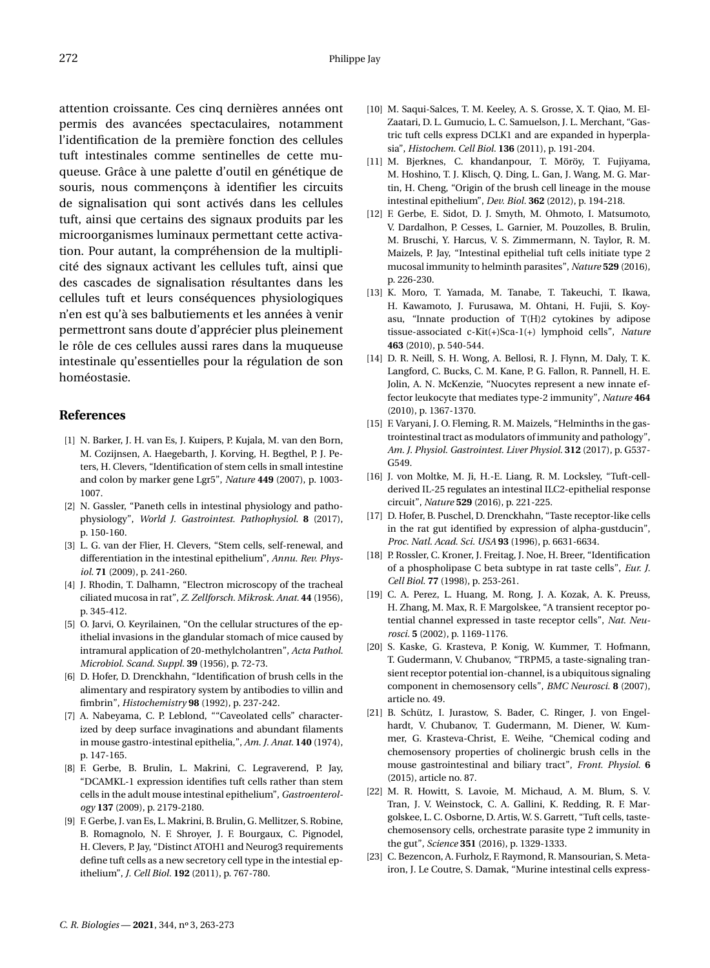attention croissante. Ces cinq dernières années ont permis des avancées spectaculaires, notamment l'identification de la première fonction des cellules tuft intestinales comme sentinelles de cette muqueuse. Grâce à une palette d'outil en génétique de souris, nous commençons à identifier les circuits de signalisation qui sont activés dans les cellules tuft, ainsi que certains des signaux produits par les microorganismes luminaux permettant cette activation. Pour autant, la compréhension de la multiplicité des signaux activant les cellules tuft, ainsi que des cascades de signalisation résultantes dans les cellules tuft et leurs conséquences physiologiques n'en est qu'à ses balbutiements et les années à venir permettront sans doute d'apprécier plus pleinement le rôle de ces cellules aussi rares dans la muqueuse intestinale qu'essentielles pour la régulation de son homéostasie.

#### **References**

- <span id="page-10-0"></span>[1] N. Barker, J. H. van Es, J. Kuipers, P. Kujala, M. van den Born, M. Cozijnsen, A. Haegebarth, J. Korving, H. Begthel, P. J. Peters, H. Clevers, "Identification of stem cells in small intestine and colon by marker gene Lgr5", *Nature* **449** (2007), p. 1003- 1007.
- <span id="page-10-1"></span>[2] N. Gassler, "Paneth cells in intestinal physiology and pathophysiology", *World J. Gastrointest. Pathophysiol.* **8** (2017), p. 150-160.
- <span id="page-10-2"></span>[3] L. G. van der Flier, H. Clevers, "Stem cells, self-renewal, and differentiation in the intestinal epithelium", *Annu. Rev. Physiol.* **71** (2009), p. 241-260.
- <span id="page-10-3"></span>[4] J. Rhodin, T. Dalhamn, "Electron microscopy of the tracheal ciliated mucosa in rat", *Z. Zellforsch. Mikrosk. Anat.* **44** (1956), p. 345-412.
- <span id="page-10-4"></span>[5] O. Jarvi, O. Keyrilainen, "On the cellular structures of the epithelial invasions in the glandular stomach of mice caused by intramural application of 20-methylcholantren", *Acta Pathol. Microbiol. Scand. Suppl.* **39** (1956), p. 72-73.
- <span id="page-10-5"></span>[6] D. Hofer, D. Drenckhahn, "Identification of brush cells in the alimentary and respiratory system by antibodies to villin and fimbrin", *Histochemistry* **98** (1992), p. 237-242.
- <span id="page-10-6"></span>[7] A. Nabeyama, C. P. Leblond, ""Caveolated cells" characterized by deep surface invaginations and abundant filaments in mouse gastro-intestinal epithelia,", *Am. J. Anat.* **140** (1974), p. 147-165.
- <span id="page-10-7"></span>[8] F. Gerbe, B. Brulin, L. Makrini, C. Legraverend, P. Jay, "DCAMKL-1 expression identifies tuft cells rather than stem cells in the adult mouse intestinal epithelium", *Gastroenterology* **137** (2009), p. 2179-2180.
- <span id="page-10-9"></span>[9] F. Gerbe, J. van Es, L. Makrini, B. Brulin, G. Mellitzer, S. Robine, B. Romagnolo, N. F. Shroyer, J. F. Bourgaux, C. Pignodel, H. Clevers, P. Jay, "Distinct ATOH1 and Neurog3 requirements define tuft cells as a new secretory cell type in the intestial epithelium", *J. Cell Biol.* **192** (2011), p. 767-780.
- [10] M. Saqui-Salces, T. M. Keeley, A. S. Grosse, X. T. Qiao, M. El-Zaatari, D. L. Gumucio, L. C. Samuelson, J. L. Merchant, "Gastric tuft cells express DCLK1 and are expanded in hyperplasia", *Histochem. Cell Biol.* **136** (2011), p. 191-204.
- <span id="page-10-8"></span>[11] M. Bjerknes, C. khandanpour, T. Möröy, T. Fujiyama, M. Hoshino, T. J. Klisch, Q. Ding, L. Gan, J. Wang, M. G. Martin, H. Cheng, "Origin of the brush cell lineage in the mouse intestinal epithelium", *Dev. Biol.* **362** (2012), p. 194-218.
- <span id="page-10-10"></span>[12] F. Gerbe, E. Sidot, D. J. Smyth, M. Ohmoto, I. Matsumoto, V. Dardalhon, P. Cesses, L. Garnier, M. Pouzolles, B. Brulin, M. Bruschi, Y. Harcus, V. S. Zimmermann, N. Taylor, R. M. Maizels, P. Jay, "Intestinal epithelial tuft cells initiate type 2 mucosal immunity to helminth parasites", *Nature* **529** (2016), p. 226-230.
- <span id="page-10-11"></span>[13] K. Moro, T. Yamada, M. Tanabe, T. Takeuchi, T. Ikawa, H. Kawamoto, J. Furusawa, M. Ohtani, H. Fujii, S. Koyasu, "Innate production of T(H)2 cytokines by adipose tissue-associated c-Kit(+)Sca-1(+) lymphoid cells", *Nature* **463** (2010), p. 540-544.
- <span id="page-10-12"></span>[14] D. R. Neill, S. H. Wong, A. Bellosi, R. J. Flynn, M. Daly, T. K. Langford, C. Bucks, C. M. Kane, P. G. Fallon, R. Pannell, H. E. Jolin, A. N. McKenzie, "Nuocytes represent a new innate effector leukocyte that mediates type-2 immunity", *Nature* **464** (2010), p. 1367-1370.
- <span id="page-10-13"></span>[15] F. Varyani, J. O. Fleming, R. M. Maizels, "Helminths in the gastrointestinal tract as modulators of immunity and pathology", *Am. J. Physiol. Gastrointest. Liver Physiol.* **312** (2017), p. G537- G549.
- <span id="page-10-14"></span>[16] J. von Moltke, M. Ji, H.-E. Liang, R. M. Locksley, "Tuft-cellderived IL-25 regulates an intestinal ILC2-epithelial response circuit", *Nature* **529** (2016), p. 221-225.
- <span id="page-10-15"></span>[17] D. Hofer, B. Puschel, D. Drenckhahn, "Taste receptor-like cells in the rat gut identified by expression of alpha-gustducin", *Proc. Natl. Acad. Sci. USA* **93** (1996), p. 6631-6634.
- <span id="page-10-16"></span>[18] P. Rossler, C. Kroner, J. Freitag, J. Noe, H. Breer, "Identification of a phospholipase C beta subtype in rat taste cells", *Eur. J. Cell Biol.* **77** (1998), p. 253-261.
- <span id="page-10-17"></span>[19] C. A. Perez, L. Huang, M. Rong, J. A. Kozak, A. K. Preuss, H. Zhang, M. Max, R. F. Margolskee, "A transient receptor potential channel expressed in taste receptor cells", *Nat. Neurosci.* **5** (2002), p. 1169-1176.
- <span id="page-10-18"></span>[20] S. Kaske, G. Krasteva, P. Konig, W. Kummer, T. Hofmann, T. Gudermann, V. Chubanov, "TRPM5, a taste-signaling transient receptor potential ion-channel, is a ubiquitous signaling component in chemosensory cells", *BMC Neurosci.* **8** (2007), article no. 49.
- <span id="page-10-19"></span>[21] B. Schütz, I. Jurastow, S. Bader, C. Ringer, J. von Engelhardt, V. Chubanov, T. Gudermann, M. Diener, W. Kummer, G. Krasteva-Christ, E. Weihe, "Chemical coding and chemosensory properties of cholinergic brush cells in the mouse gastrointestinal and biliary tract", *Front. Physiol.* **6** (2015), article no. 87.
- <span id="page-10-20"></span>[22] M. R. Howitt, S. Lavoie, M. Michaud, A. M. Blum, S. V. Tran, J. V. Weinstock, C. A. Gallini, K. Redding, R. F. Margolskee, L. C. Osborne, D. Artis, W. S. Garrett, "Tuft cells, tastechemosensory cells, orchestrate parasite type 2 immunity in the gut", *Science* **351** (2016), p. 1329-1333.
- <span id="page-10-21"></span>[23] C. Bezencon, A. Furholz, F. Raymond, R. Mansourian, S. Metairon, J. Le Coutre, S. Damak, "Murine intestinal cells express-